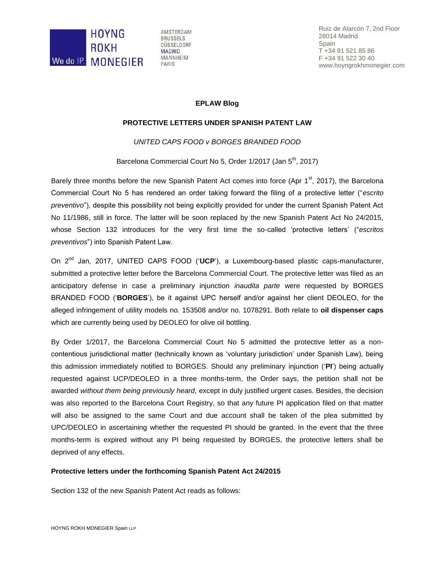

AMSTERDAM **BRUSSELS** DÜSSELDORF **MADRID MANNHEIM** PARIS

Ruiz de Alarcón 7, 2nd Floor 28014 Madrid Spain T +34 91 521 85 86 F +34 91 522 30 40 www.hoyngrokhmonegier.com

## **EPLAW Blog**

## **PROTECTIVE LETTERS UNDER SPANISH PATENT LAW**

*UNITED CAPS FOOD v BORGES BRANDED FOOD*

Barcelona Commercial Court No 5, Order 1/2017 (Jan 5<sup>th</sup>, 2017)

Barely three months before the new Spanish Patent Act comes into force (Apr  $1^{st}$ , 2017), the Barcelona Commercial Court No 5 has rendered an order taking forward the filing of a protective letter ("*escrito preventivo*"), despite this possibility not being explicitly provided for under the current Spanish Patent Act No 11/1986, still in force. The latter will be soon replaced by the new Spanish Patent Act No 24/2015, whose Section 132 introduces for the very first time the so-called 'protective letters' ("*escritos preventivos*") into Spanish Patent Law.

On 2nd Jan, 2017, UNITED CAPS FOOD ('**UCP**'), a Luxembourg-based plastic caps-manufacturer, submitted a protective letter before the Barcelona Commercial Court. The protective letter was filed as an anticipatory defense in case a preliminary injunction *inaudita parte* were requested by BORGES BRANDED FOOD ('**BORGES**'), be it against UPC herself and/or against her client DEOLEO, for the alleged infringement of utility models no. 153508 and/or no. 1078291. Both relate to **oil dispenser caps** which are currently being used by DEOLEO for olive oil bottling.

By Order 1/2017, the Barcelona Commercial Court No 5 admitted the protective letter as a noncontentious jurisdictional matter (technically known as 'voluntary jurisdiction' under Spanish Law), being this admission immediately notified to BORGES. Should any preliminary injunction ('**PI**') being actually requested against UCP/DEOLEO in a three months-term, the Order says, the petition shall not be awarded *without them being previously heard*, except in duly justified urgent cases. Besides, the decision was also reported to the Barcelona Court Registry, so that any future PI application filed on that matter will also be assigned to the same Court and due account shall be taken of the plea submitted by UPC/DEOLEO in ascertaining whether the requested PI should be granted. In the event that the three months-term is expired without any PI being requested by BORGES, the protective letters shall be deprived of any effects.

## **Protective letters under the forthcoming Spanish Patent Act 24/2015**

Section 132 of the new Spanish Patent Act reads as follows: